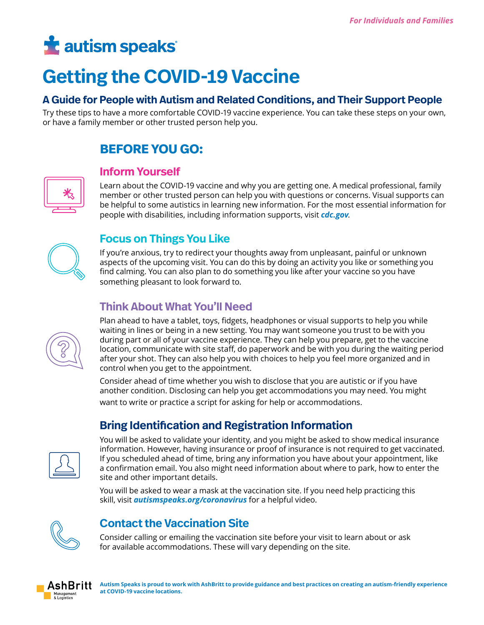# **t** autism speaks

## **Getting the COVID-19 Vaccine**

### **A Guide for People with Autism and Related Conditions, and Their Support People**

Try these tips to have a more comfortable COVID-19 vaccine experience. You can take these steps on your own, or have a family member or other trusted person help you.

## **BEFORE YOU GO:**



#### **Inform Yourself**

Learn about the COVID-19 vaccine and why you are getting one. A medical professional, family member or other trusted person can help you with questions or concerns. Visual supports can be helpful to some autistics in learning new information. For the most essential information for people with disabilities, including information supports, visit *[cdc.gov](https://www.cdc.gov/coronavirus/2019-ncov/communication/toolkits/people-with-disabilities.html)*.



## **Focus on Things You Like**

If you're anxious, try to redirect your thoughts away from unpleasant, painful or unknown aspects of the upcoming visit. You can do this by doing an activity you like or something you find calming. You can also plan to do something you like after your vaccine so you have something pleasant to look forward to.

## **Think About What You'll Need**

Plan ahead to have a tablet, toys, fidgets, headphones or visual supports to help you while waiting in lines or being in a new setting. You may want someone you trust to be with you during part or all of your vaccine experience. They can help you prepare, get to the vaccine location, communicate with site staff, do paperwork and be with you during the waiting period after your shot. They can also help you with choices to help you feel more organized and in control when you get to the appointment.

Consider ahead of time whether you wish to disclose that you are autistic or if you have another condition. Disclosing can help you get accommodations you may need. You might want to write or practice a script for asking for help or accommodations.

## **Bring Identification and Registration Information**



You will be asked to validate your identity, and you might be asked to show medical insurance information. However, having insurance or proof of insurance is not required to get vaccinated. If you scheduled ahead of time, bring any information you have about your appointment, like a confirmation email. You also might need information about where to park, how to enter the site and other important details.

You will be asked to wear a mask at the vaccination site. If you need help practicing this skill, visit *[autismspeaks.org/coronavirus](http://www.autismspeaks.org/coronavirus)* for a helpful video.



## **Contact the Vaccination Site**

Consider calling or emailing the vaccination site before your visit to learn about or ask for available accommodations. These will vary depending on the site.